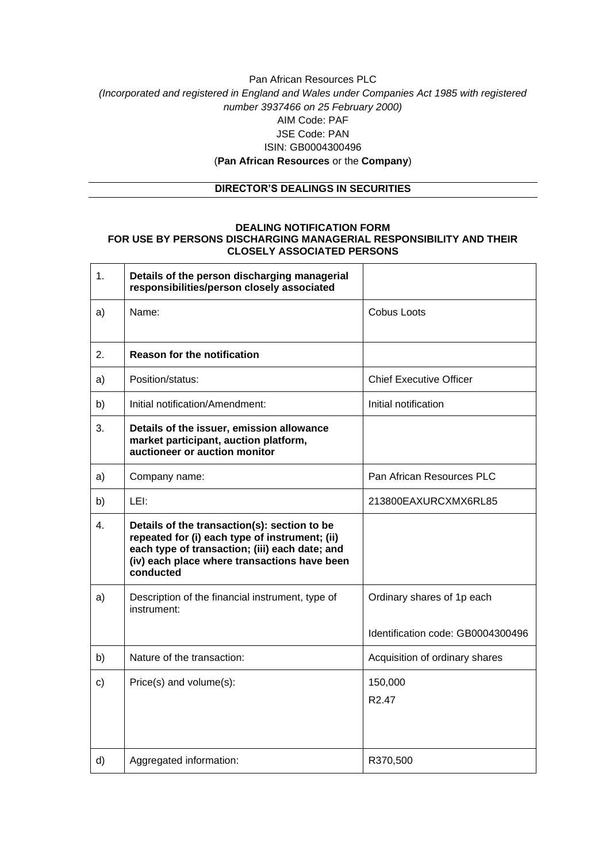## Pan African Resources PLC *(Incorporated and registered in England and Wales under Companies Act 1985 with registered number 3937466 on 25 February 2000)* AIM Code: PAF JSE Code: PAN ISIN: GB0004300496 (**Pan African Resources** or the **Company**)

### **DIRECTOR'S DEALINGS IN SECURITIES**

#### **DEALING NOTIFICATION FORM FOR USE BY PERSONS DISCHARGING MANAGERIAL RESPONSIBILITY AND THEIR CLOSELY ASSOCIATED PERSONS**

| 1. | Details of the person discharging managerial<br>responsibilities/person closely associated                                                                                                                    |                                                                 |
|----|---------------------------------------------------------------------------------------------------------------------------------------------------------------------------------------------------------------|-----------------------------------------------------------------|
| a) | Name:                                                                                                                                                                                                         | Cobus Loots                                                     |
| 2. | <b>Reason for the notification</b>                                                                                                                                                                            |                                                                 |
| a) | Position/status:                                                                                                                                                                                              | <b>Chief Executive Officer</b>                                  |
| b) | Initial notification/Amendment:                                                                                                                                                                               | Initial notification                                            |
| 3. | Details of the issuer, emission allowance<br>market participant, auction platform,<br>auctioneer or auction monitor                                                                                           |                                                                 |
| a) | Company name:                                                                                                                                                                                                 | Pan African Resources PLC                                       |
| b) | LEI:                                                                                                                                                                                                          | 213800EAXURCXMX6RL85                                            |
| 4. | Details of the transaction(s): section to be<br>repeated for (i) each type of instrument; (ii)<br>each type of transaction; (iii) each date; and<br>(iv) each place where transactions have been<br>conducted |                                                                 |
| a) | Description of the financial instrument, type of<br>instrument:                                                                                                                                               | Ordinary shares of 1p each<br>Identification code: GB0004300496 |
| b) | Nature of the transaction:                                                                                                                                                                                    | Acquisition of ordinary shares                                  |
| c) | Price(s) and volume(s):                                                                                                                                                                                       | 150,000<br>R <sub>2.47</sub>                                    |
| d) | Aggregated information:                                                                                                                                                                                       | R370,500                                                        |